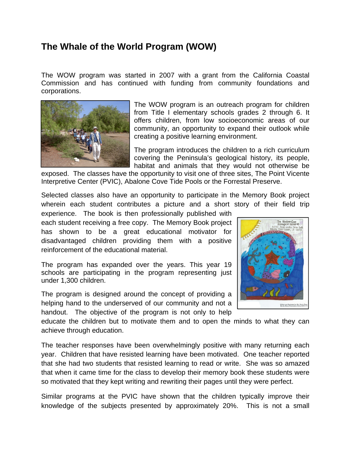## **The Whale of the World Program (WOW)**

The WOW program was started in 2007 with a grant from the California Coastal Commission and has continued with funding from community foundations and corporations.



The WOW program is an outreach program for children from Title I elementary schools grades 2 through 6. It offers children, from low socioeconomic areas of our community, an opportunity to expand their outlook while creating a positive learning environment.

The program introduces the children to a rich curriculum covering the Peninsula's geological history, its people, habitat and animals that they would not otherwise be

exposed. The classes have the opportunity to visit one of three sites, The Point Vicente Interpretive Center (PVIC), Abalone Cove Tide Pools or the Forrestal Preserve.

Selected classes also have an opportunity to participate in the Memory Book project wherein each student contributes a picture and a short story of their field trip

experience. The book is then professionally published with each student receiving a free copy. The Memory Book project has shown to be a great educational motivator for disadvantaged children providing them with a positive reinforcement of the educational material.

The program has expanded over the years. This year 19 schools are participating in the program representing just under 1,300 children.

The program is designed around the concept of providing a helping hand to the underserved of our community and not a handout. The objective of the program is not only to help



educate the children but to motivate them and to open the minds to what they can achieve through education.

The teacher responses have been overwhelmingly positive with many returning each year. Children that have resisted learning have been motivated. One teacher reported that she had two students that resisted learning to read or write. She was so amazed that when it came time for the class to develop their memory book these students were so motivated that they kept writing and rewriting their pages until they were perfect.

Similar programs at the PVIC have shown that the children typically improve their knowledge of the subjects presented by approximately 20%. This is not a small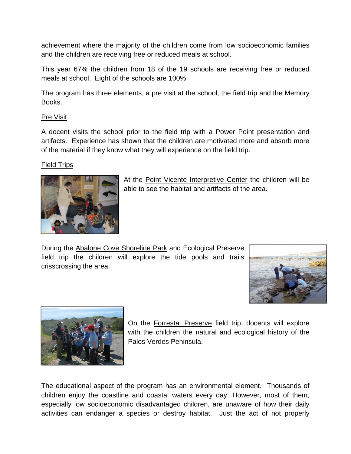achievement where the majority of the children come from low socioeconomic families and the children are receiving free or reduced meals at school.

This year 67% the children from 18 of the 19 schools are receiving free or reduced meals at school. Eight of the schools are 100%

The program has three elements, a pre visit at the school, the field trip and the Memory Books.

## Pre Visit

A docent visits the school prior to the field trip with a Power Point presentation and artifacts. Experience has shown that the children are motivated more and absorb more of the material if they know what they will experience on the field trip.

## Field Trips



At the Point Vicente Interpretive Center the children will be able to see the habitat and artifacts of the area.

During the Abalone Cove Shoreline Park and Ecological Preserve field trip the children will explore the tide pools and trails crisscrossing the area.





On the Forrestal Preserve field trip, docents will explore with the children the natural and ecological history of the Palos Verdes Peninsula.

The educational aspect of the program has an environmental element. Thousands of children enjoy the coastline and coastal waters every day. However, most of them, especially low socioeconomic disadvantaged children, are unaware of how their daily activities can endanger a species or destroy habitat. Just the act of not properly